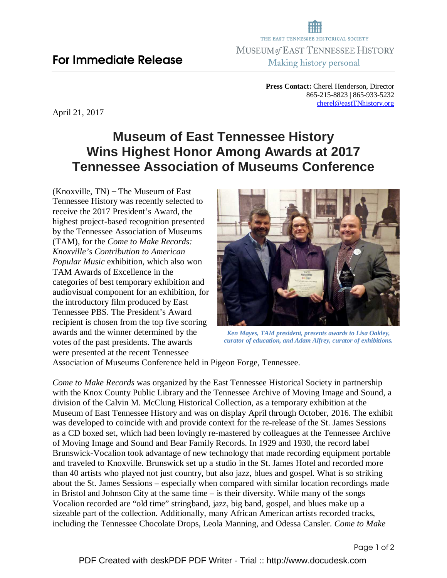**Press Contact:** Cherel Henderson, Director 865-215-8823 | 865-933-5232 cherel@eastTNhistory.org

April 21, 2017

## **Museum of East Tennessee History Wins Highest Honor Among Awards at 2017 Tennessee Association of Museums Conference**

 $(Knoxville, TN)$  – The Museum of East Tennessee History was recently selected to receive the 2017 President's Award, the highest project-based recognition presented by the Tennessee Association of Museums (TAM), for the *Come to Make Records: Knoxville's Contribution to American Popular Music* exhibition, which also won TAM Awards of Excellence in the categories of best temporary exhibition and audiovisual component for an exhibition, for the introductory film produced by East Tennessee PBS. The President's Award recipient is chosen from the top five scoring awards and the winner determined by the votes of the past presidents. The awards were presented at the recent Tennessee



*Ken Mayes, TAM president, presents awards to Lisa Oakley, curator of education, and Adam Alfrey, curator of exhibitions.* 

Association of Museums Conference held in Pigeon Forge, Tennessee.

*Come to Make Records* was organized by the East Tennessee Historical Society in partnership with the Knox County Public Library and the Tennessee Archive of Moving Image and Sound, a division of the Calvin M. McClung Historical Collection, as a temporary exhibition at the Museum of East Tennessee History and was on display April through October, 2016. The exhibit was developed to coincide with and provide context for the re-release of the St. James Sessions as a CD boxed set, which had been lovingly re-mastered by colleagues at the Tennessee Archive of Moving Image and Sound and Bear Family Records. In 1929 and 1930, the record label Brunswick-Vocalion took advantage of new technology that made recording equipment portable and traveled to Knoxville. Brunswick set up a studio in the St. James Hotel and recorded more than 40 artists who played not just country, but also jazz, blues and gospel. What is so striking about the St. James Sessions – especially when compared with similar location recordings made in Bristol and Johnson City at the same time – is their diversity. While many of the songs Vocalion recorded are "old time" stringband, jazz, big band, gospel, and blues make up a sizeable part of the collection. Additionally, many African American artists recorded tracks, including the Tennessee Chocolate Drops, Leola Manning, and Odessa Cansler. *Come to Make*